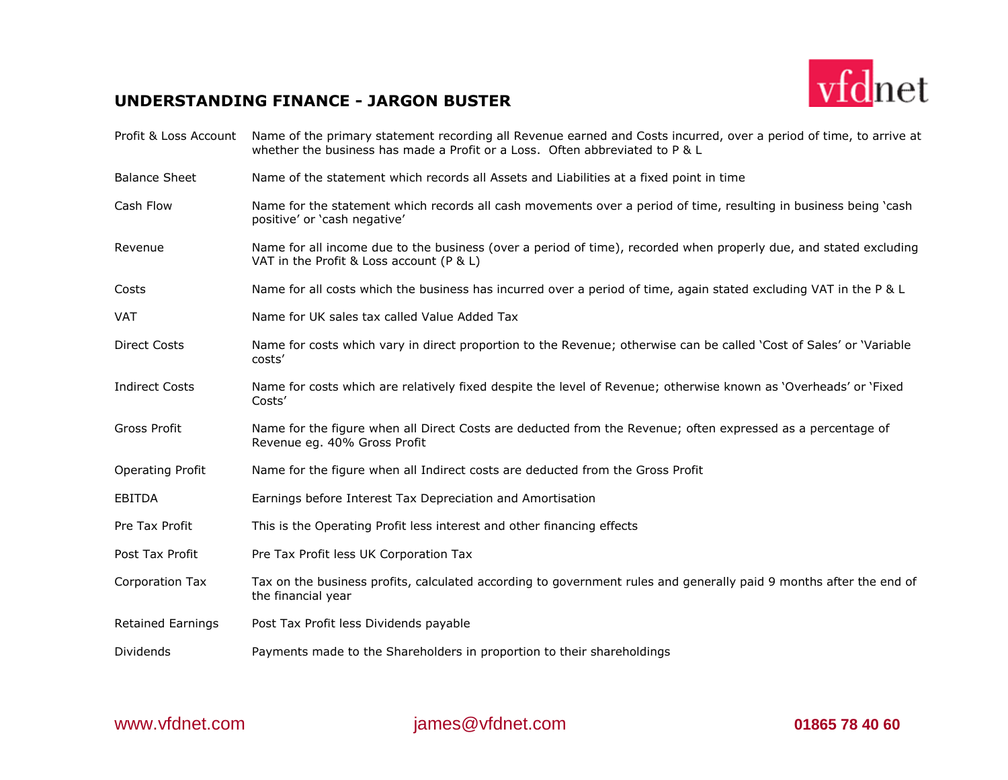## **UNDERSTANDING FINANCE - JARGON BUSTER**



| Profit & Loss Account    | Name of the primary statement recording all Revenue earned and Costs incurred, over a period of time, to arrive at<br>whether the business has made a Profit or a Loss. Often abbreviated to P & L |
|--------------------------|----------------------------------------------------------------------------------------------------------------------------------------------------------------------------------------------------|
| <b>Balance Sheet</b>     | Name of the statement which records all Assets and Liabilities at a fixed point in time                                                                                                            |
| Cash Flow                | Name for the statement which records all cash movements over a period of time, resulting in business being 'cash<br>positive' or 'cash negative'                                                   |
| Revenue                  | Name for all income due to the business (over a period of time), recorded when properly due, and stated excluding<br>VAT in the Profit & Loss account (P & L)                                      |
| Costs                    | Name for all costs which the business has incurred over a period of time, again stated excluding VAT in the P & L                                                                                  |
| VAT                      | Name for UK sales tax called Value Added Tax                                                                                                                                                       |
| <b>Direct Costs</b>      | Name for costs which vary in direct proportion to the Revenue; otherwise can be called 'Cost of Sales' or 'Variable<br>costs'                                                                      |
| <b>Indirect Costs</b>    | Name for costs which are relatively fixed despite the level of Revenue; otherwise known as 'Overheads' or 'Fixed<br>Costs'                                                                         |
| Gross Profit             | Name for the figure when all Direct Costs are deducted from the Revenue; often expressed as a percentage of<br>Revenue eg. 40% Gross Profit                                                        |
| <b>Operating Profit</b>  | Name for the figure when all Indirect costs are deducted from the Gross Profit                                                                                                                     |
| <b>EBITDA</b>            | Earnings before Interest Tax Depreciation and Amortisation                                                                                                                                         |
| Pre Tax Profit           | This is the Operating Profit less interest and other financing effects                                                                                                                             |
| Post Tax Profit          | Pre Tax Profit less UK Corporation Tax                                                                                                                                                             |
| Corporation Tax          | Tax on the business profits, calculated according to government rules and generally paid 9 months after the end of<br>the financial year                                                           |
| <b>Retained Earnings</b> | Post Tax Profit less Dividends payable                                                                                                                                                             |
| Dividends                | Payments made to the Shareholders in proportion to their shareholdings                                                                                                                             |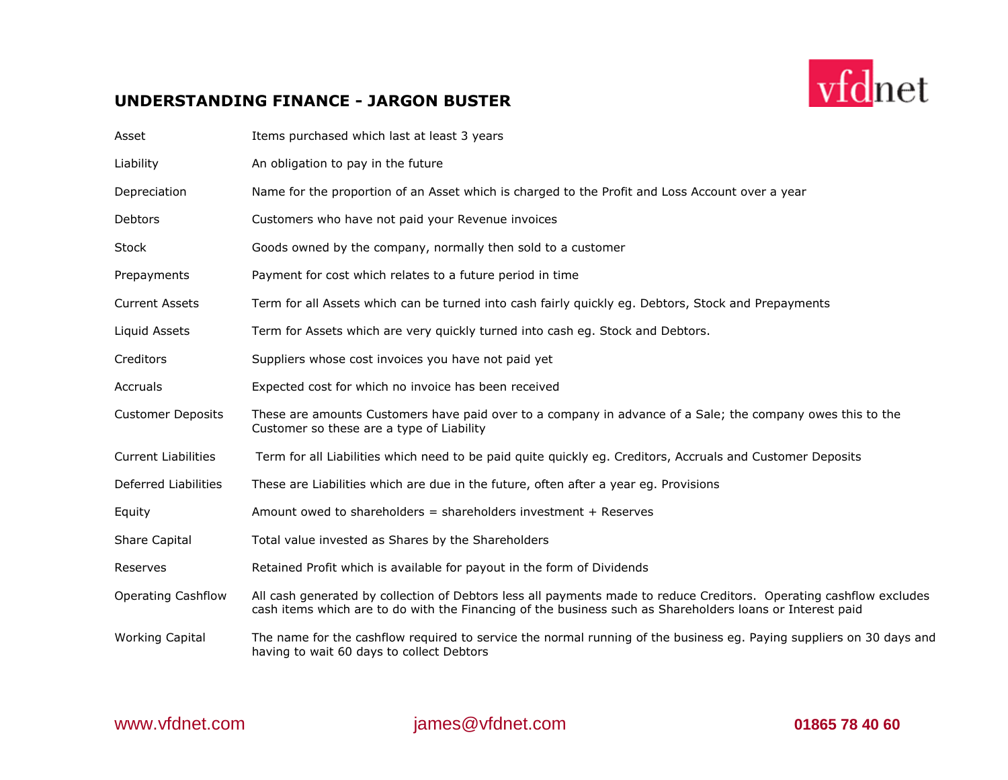## **UNDERSTANDING FINANCE - JARGON BUSTER**



vfdnet